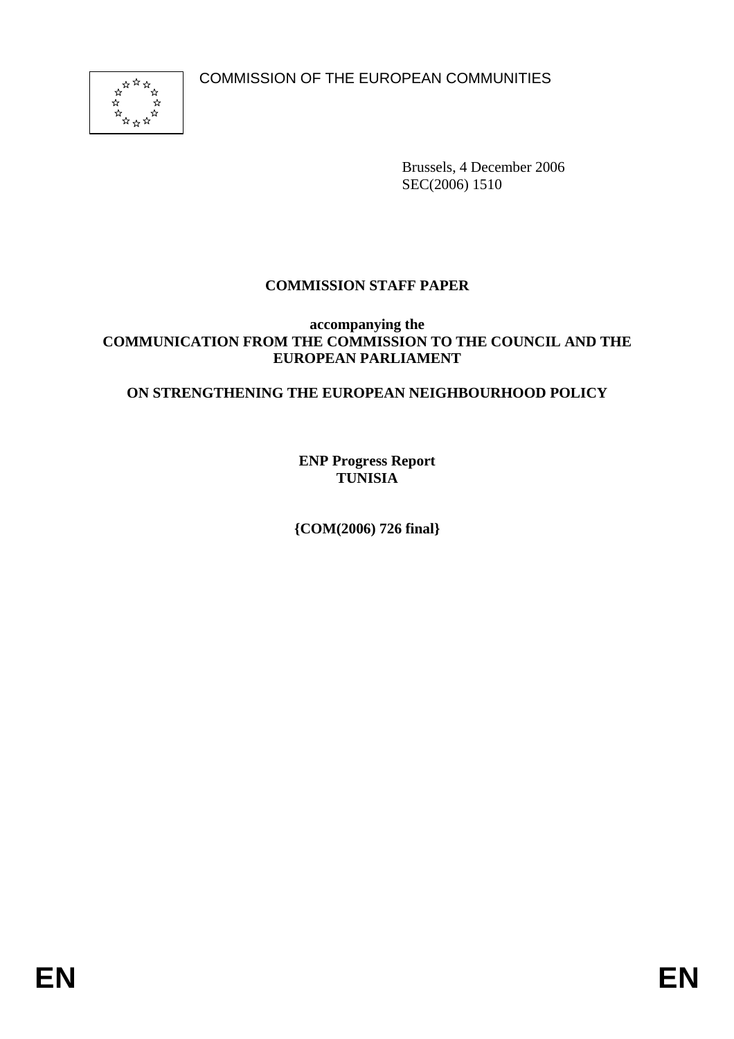COMMISSION OF THE EUROPEAN COMMUNITIES



Brussels, 4 December 2006 SEC(2006) 1510

# **COMMISSION STAFF PAPER**

#### **accompanying the COMMUNICATION FROM THE COMMISSION TO THE COUNCIL AND THE EUROPEAN PARLIAMENT**

## **ON STRENGTHENING THE EUROPEAN NEIGHBOURHOOD POLICY**

**ENP Progress Report TUNISIA** 

**{COM(2006) 726 final}**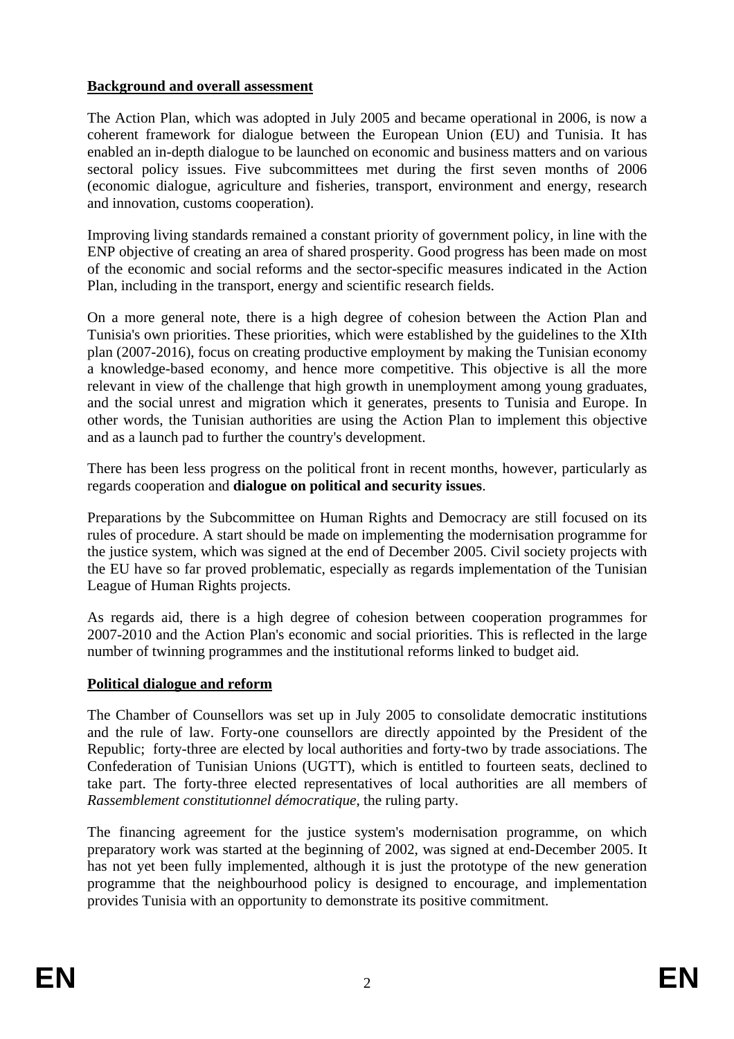### **Background and overall assessment**

The Action Plan, which was adopted in July 2005 and became operational in 2006, is now a coherent framework for dialogue between the European Union (EU) and Tunisia. It has enabled an in-depth dialogue to be launched on economic and business matters and on various sectoral policy issues. Five subcommittees met during the first seven months of 2006 (economic dialogue, agriculture and fisheries, transport, environment and energy, research and innovation, customs cooperation).

Improving living standards remained a constant priority of government policy, in line with the ENP objective of creating an area of shared prosperity. Good progress has been made on most of the economic and social reforms and the sector-specific measures indicated in the Action Plan, including in the transport, energy and scientific research fields.

On a more general note, there is a high degree of cohesion between the Action Plan and Tunisia's own priorities. These priorities, which were established by the guidelines to the XIth plan (2007-2016), focus on creating productive employment by making the Tunisian economy a knowledge-based economy, and hence more competitive. This objective is all the more relevant in view of the challenge that high growth in unemployment among young graduates, and the social unrest and migration which it generates, presents to Tunisia and Europe. In other words, the Tunisian authorities are using the Action Plan to implement this objective and as a launch pad to further the country's development.

There has been less progress on the political front in recent months, however, particularly as regards cooperation and **dialogue on political and security issues**.

Preparations by the Subcommittee on Human Rights and Democracy are still focused on its rules of procedure. A start should be made on implementing the modernisation programme for the justice system, which was signed at the end of December 2005. Civil society projects with the EU have so far proved problematic, especially as regards implementation of the Tunisian League of Human Rights projects.

As regards aid, there is a high degree of cohesion between cooperation programmes for 2007-2010 and the Action Plan's economic and social priorities. This is reflected in the large number of twinning programmes and the institutional reforms linked to budget aid.

#### **Political dialogue and reform**

The Chamber of Counsellors was set up in July 2005 to consolidate democratic institutions and the rule of law. Forty-one counsellors are directly appointed by the President of the Republic; forty-three are elected by local authorities and forty-two by trade associations. The Confederation of Tunisian Unions (UGTT), which is entitled to fourteen seats, declined to take part. The forty-three elected representatives of local authorities are all members of *Rassemblement constitutionnel démocratique*, the ruling party.

The financing agreement for the justice system's modernisation programme, on which preparatory work was started at the beginning of 2002, was signed at end-December 2005. It has not yet been fully implemented, although it is just the prototype of the new generation programme that the neighbourhood policy is designed to encourage, and implementation provides Tunisia with an opportunity to demonstrate its positive commitment.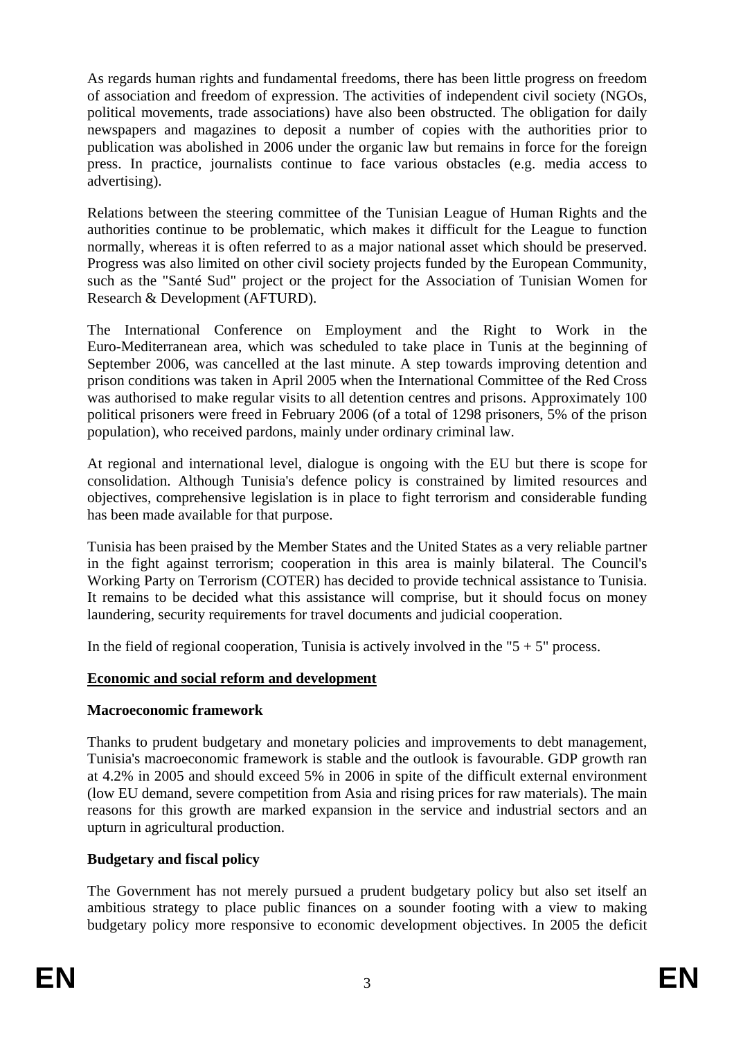As regards human rights and fundamental freedoms, there has been little progress on freedom of association and freedom of expression. The activities of independent civil society (NGOs, political movements, trade associations) have also been obstructed. The obligation for daily newspapers and magazines to deposit a number of copies with the authorities prior to publication was abolished in 2006 under the organic law but remains in force for the foreign press. In practice, journalists continue to face various obstacles (e.g. media access to advertising).

Relations between the steering committee of the Tunisian League of Human Rights and the authorities continue to be problematic, which makes it difficult for the League to function normally, whereas it is often referred to as a major national asset which should be preserved. Progress was also limited on other civil society projects funded by the European Community, such as the "Santé Sud" project or the project for the Association of Tunisian Women for Research & Development (AFTURD).

The International Conference on Employment and the Right to Work in the Euro-Mediterranean area, which was scheduled to take place in Tunis at the beginning of September 2006, was cancelled at the last minute. A step towards improving detention and prison conditions was taken in April 2005 when the International Committee of the Red Cross was authorised to make regular visits to all detention centres and prisons. Approximately 100 political prisoners were freed in February 2006 (of a total of 1298 prisoners, 5% of the prison population), who received pardons, mainly under ordinary criminal law.

At regional and international level, dialogue is ongoing with the EU but there is scope for consolidation. Although Tunisia's defence policy is constrained by limited resources and objectives, comprehensive legislation is in place to fight terrorism and considerable funding has been made available for that purpose.

Tunisia has been praised by the Member States and the United States as a very reliable partner in the fight against terrorism; cooperation in this area is mainly bilateral. The Council's Working Party on Terrorism (COTER) has decided to provide technical assistance to Tunisia. It remains to be decided what this assistance will comprise, but it should focus on money laundering, security requirements for travel documents and judicial cooperation.

In the field of regional cooperation, Tunisia is actively involved in the " $5 + 5$ " process.

#### **Economic and social reform and development**

#### **Macroeconomic framework**

Thanks to prudent budgetary and monetary policies and improvements to debt management, Tunisia's macroeconomic framework is stable and the outlook is favourable. GDP growth ran at 4.2% in 2005 and should exceed 5% in 2006 in spite of the difficult external environment (low EU demand, severe competition from Asia and rising prices for raw materials). The main reasons for this growth are marked expansion in the service and industrial sectors and an upturn in agricultural production.

#### **Budgetary and fiscal policy**

The Government has not merely pursued a prudent budgetary policy but also set itself an ambitious strategy to place public finances on a sounder footing with a view to making budgetary policy more responsive to economic development objectives. In 2005 the deficit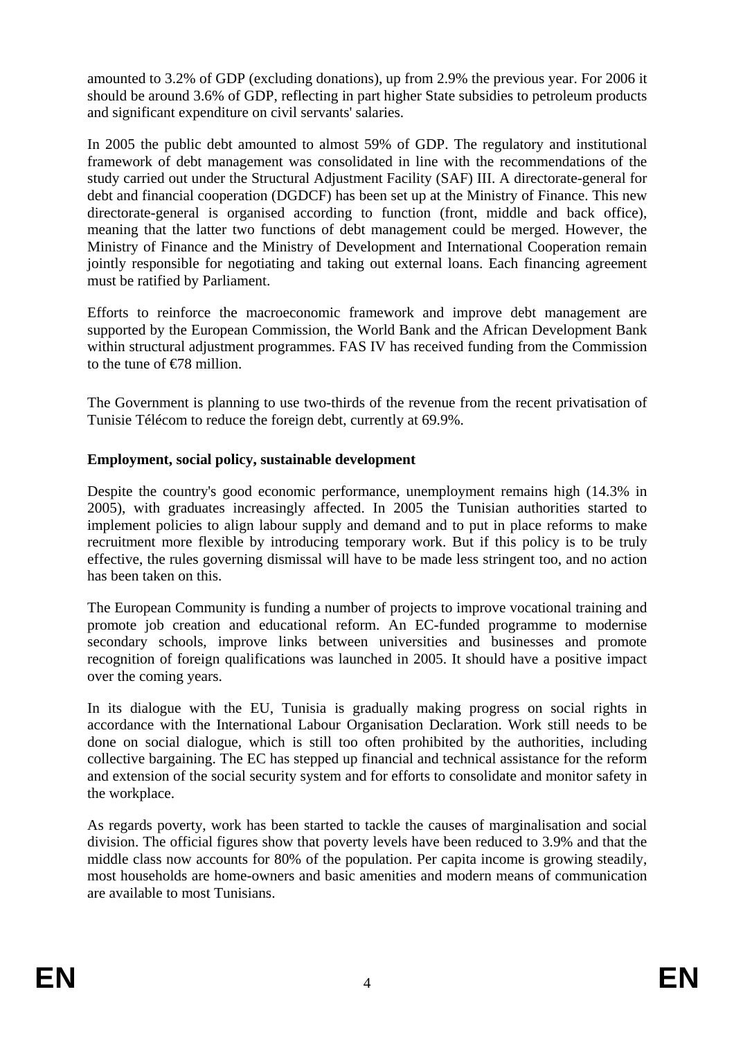amounted to 3.2% of GDP (excluding donations), up from 2.9% the previous year. For 2006 it should be around 3.6% of GDP, reflecting in part higher State subsidies to petroleum products and significant expenditure on civil servants' salaries.

In 2005 the public debt amounted to almost 59% of GDP. The regulatory and institutional framework of debt management was consolidated in line with the recommendations of the study carried out under the Structural Adjustment Facility (SAF) III. A directorate-general for debt and financial cooperation (DGDCF) has been set up at the Ministry of Finance. This new directorate-general is organised according to function (front, middle and back office), meaning that the latter two functions of debt management could be merged. However, the Ministry of Finance and the Ministry of Development and International Cooperation remain jointly responsible for negotiating and taking out external loans. Each financing agreement must be ratified by Parliament.

Efforts to reinforce the macroeconomic framework and improve debt management are supported by the European Commission, the World Bank and the African Development Bank within structural adjustment programmes. FAS IV has received funding from the Commission to the tune of  $\epsilon$ 78 million

The Government is planning to use two-thirds of the revenue from the recent privatisation of Tunisie Télécom to reduce the foreign debt, currently at 69.9%.

#### **Employment, social policy, sustainable development**

Despite the country's good economic performance, unemployment remains high (14.3% in 2005), with graduates increasingly affected. In 2005 the Tunisian authorities started to implement policies to align labour supply and demand and to put in place reforms to make recruitment more flexible by introducing temporary work. But if this policy is to be truly effective, the rules governing dismissal will have to be made less stringent too, and no action has been taken on this.

The European Community is funding a number of projects to improve vocational training and promote job creation and educational reform. An EC-funded programme to modernise secondary schools, improve links between universities and businesses and promote recognition of foreign qualifications was launched in 2005. It should have a positive impact over the coming years.

In its dialogue with the EU, Tunisia is gradually making progress on social rights in accordance with the International Labour Organisation Declaration. Work still needs to be done on social dialogue, which is still too often prohibited by the authorities, including collective bargaining. The EC has stepped up financial and technical assistance for the reform and extension of the social security system and for efforts to consolidate and monitor safety in the workplace.

As regards poverty, work has been started to tackle the causes of marginalisation and social division. The official figures show that poverty levels have been reduced to 3.9% and that the middle class now accounts for 80% of the population. Per capita income is growing steadily, most households are home-owners and basic amenities and modern means of communication are available to most Tunisians.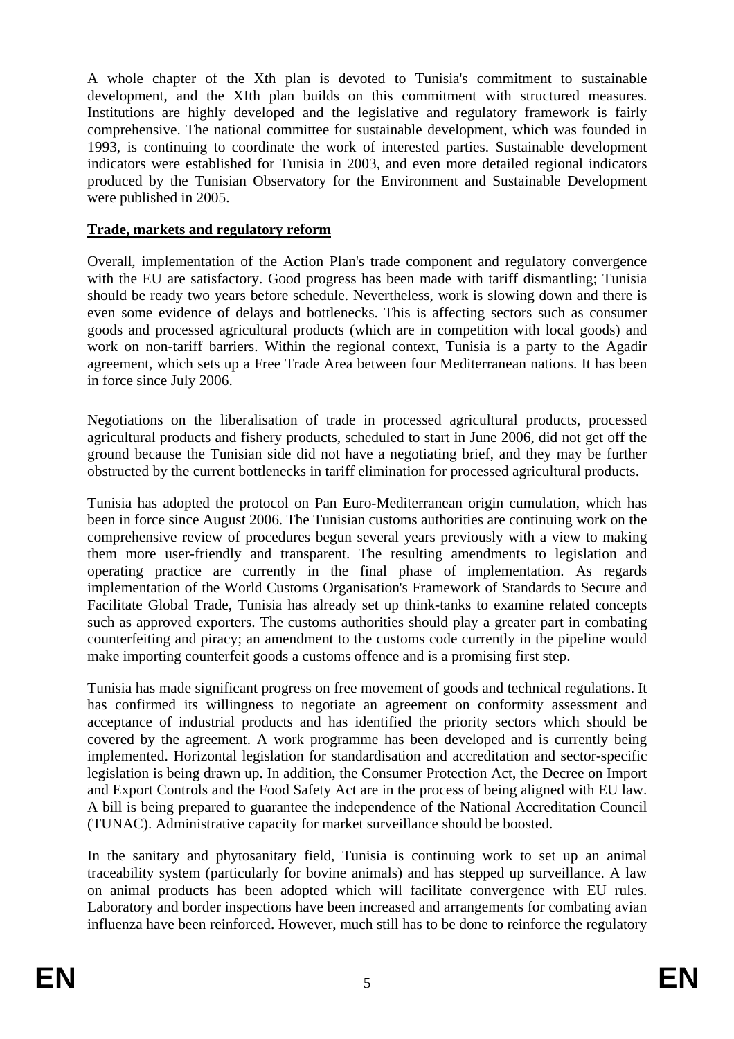A whole chapter of the Xth plan is devoted to Tunisia's commitment to sustainable development, and the XIth plan builds on this commitment with structured measures. Institutions are highly developed and the legislative and regulatory framework is fairly comprehensive. The national committee for sustainable development, which was founded in 1993, is continuing to coordinate the work of interested parties. Sustainable development indicators were established for Tunisia in 2003, and even more detailed regional indicators produced by the Tunisian Observatory for the Environment and Sustainable Development were published in 2005.

#### **Trade, markets and regulatory reform**

Overall, implementation of the Action Plan's trade component and regulatory convergence with the EU are satisfactory. Good progress has been made with tariff dismantling: Tunisia should be ready two years before schedule. Nevertheless, work is slowing down and there is even some evidence of delays and bottlenecks. This is affecting sectors such as consumer goods and processed agricultural products (which are in competition with local goods) and work on non-tariff barriers. Within the regional context, Tunisia is a party to the Agadir agreement, which sets up a Free Trade Area between four Mediterranean nations. It has been in force since July 2006.

Negotiations on the liberalisation of trade in processed agricultural products, processed agricultural products and fishery products, scheduled to start in June 2006, did not get off the ground because the Tunisian side did not have a negotiating brief, and they may be further obstructed by the current bottlenecks in tariff elimination for processed agricultural products.

Tunisia has adopted the protocol on Pan Euro-Mediterranean origin cumulation, which has been in force since August 2006. The Tunisian customs authorities are continuing work on the comprehensive review of procedures begun several years previously with a view to making them more user-friendly and transparent. The resulting amendments to legislation and operating practice are currently in the final phase of implementation. As regards implementation of the World Customs Organisation's Framework of Standards to Secure and Facilitate Global Trade, Tunisia has already set up think-tanks to examine related concepts such as approved exporters. The customs authorities should play a greater part in combating counterfeiting and piracy; an amendment to the customs code currently in the pipeline would make importing counterfeit goods a customs offence and is a promising first step.

Tunisia has made significant progress on free movement of goods and technical regulations. It has confirmed its willingness to negotiate an agreement on conformity assessment and acceptance of industrial products and has identified the priority sectors which should be covered by the agreement. A work programme has been developed and is currently being implemented. Horizontal legislation for standardisation and accreditation and sector-specific legislation is being drawn up. In addition, the Consumer Protection Act, the Decree on Import and Export Controls and the Food Safety Act are in the process of being aligned with EU law. A bill is being prepared to guarantee the independence of the National Accreditation Council (TUNAC). Administrative capacity for market surveillance should be boosted.

In the sanitary and phytosanitary field, Tunisia is continuing work to set up an animal traceability system (particularly for bovine animals) and has stepped up surveillance. A law on animal products has been adopted which will facilitate convergence with EU rules. Laboratory and border inspections have been increased and arrangements for combating avian influenza have been reinforced. However, much still has to be done to reinforce the regulatory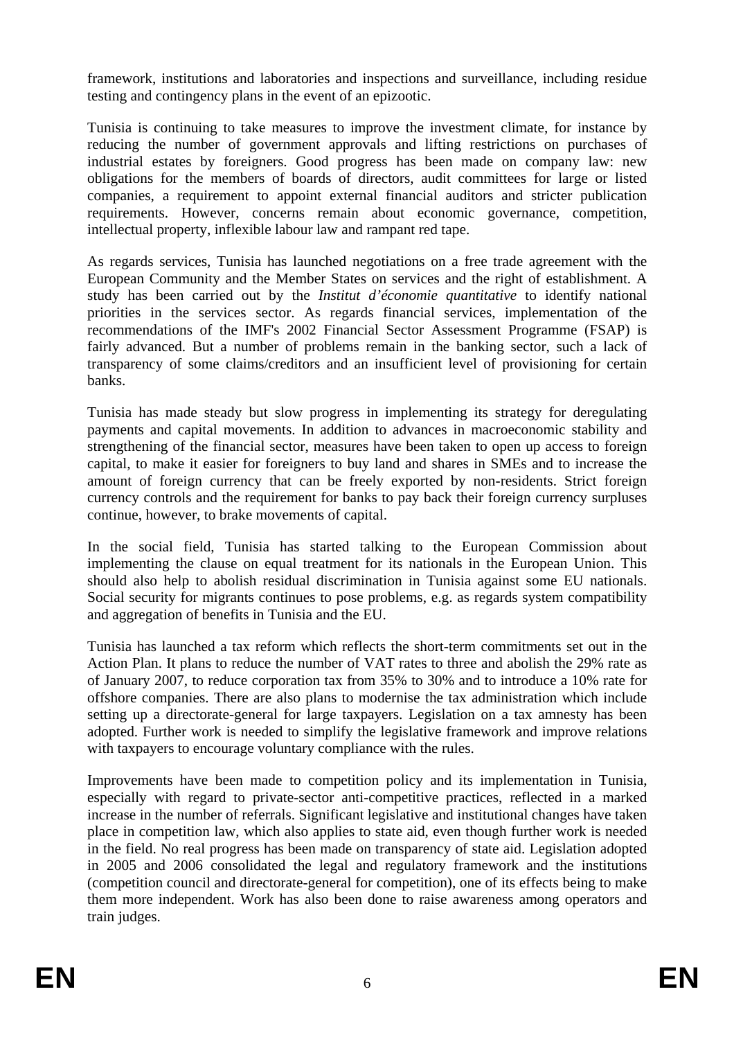framework, institutions and laboratories and inspections and surveillance, including residue testing and contingency plans in the event of an epizootic.

Tunisia is continuing to take measures to improve the investment climate, for instance by reducing the number of government approvals and lifting restrictions on purchases of industrial estates by foreigners. Good progress has been made on company law: new obligations for the members of boards of directors, audit committees for large or listed companies, a requirement to appoint external financial auditors and stricter publication requirements. However, concerns remain about economic governance, competition, intellectual property, inflexible labour law and rampant red tape.

As regards services, Tunisia has launched negotiations on a free trade agreement with the European Community and the Member States on services and the right of establishment. A study has been carried out by the *Institut d'économie quantitative* to identify national priorities in the services sector. As regards financial services, implementation of the recommendations of the IMF's 2002 Financial Sector Assessment Programme (FSAP) is fairly advanced. But a number of problems remain in the banking sector, such a lack of transparency of some claims/creditors and an insufficient level of provisioning for certain banks.

Tunisia has made steady but slow progress in implementing its strategy for deregulating payments and capital movements. In addition to advances in macroeconomic stability and strengthening of the financial sector, measures have been taken to open up access to foreign capital, to make it easier for foreigners to buy land and shares in SMEs and to increase the amount of foreign currency that can be freely exported by non-residents. Strict foreign currency controls and the requirement for banks to pay back their foreign currency surpluses continue, however, to brake movements of capital.

In the social field, Tunisia has started talking to the European Commission about implementing the clause on equal treatment for its nationals in the European Union. This should also help to abolish residual discrimination in Tunisia against some EU nationals. Social security for migrants continues to pose problems, e.g. as regards system compatibility and aggregation of benefits in Tunisia and the EU.

Tunisia has launched a tax reform which reflects the short-term commitments set out in the Action Plan. It plans to reduce the number of VAT rates to three and abolish the 29% rate as of January 2007, to reduce corporation tax from 35% to 30% and to introduce a 10% rate for offshore companies. There are also plans to modernise the tax administration which include setting up a directorate-general for large taxpayers. Legislation on a tax amnesty has been adopted. Further work is needed to simplify the legislative framework and improve relations with taxpayers to encourage voluntary compliance with the rules.

Improvements have been made to competition policy and its implementation in Tunisia, especially with regard to private-sector anti-competitive practices, reflected in a marked increase in the number of referrals. Significant legislative and institutional changes have taken place in competition law, which also applies to state aid, even though further work is needed in the field. No real progress has been made on transparency of state aid. Legislation adopted in 2005 and 2006 consolidated the legal and regulatory framework and the institutions (competition council and directorate-general for competition), one of its effects being to make them more independent. Work has also been done to raise awareness among operators and train judges.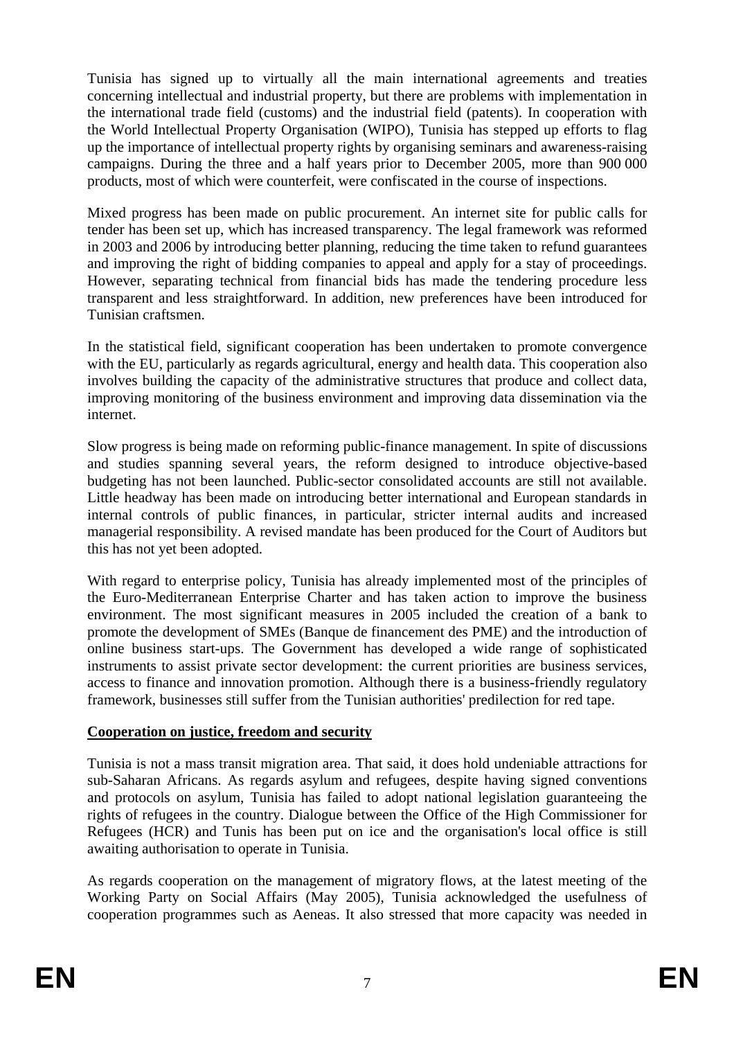Tunisia has signed up to virtually all the main international agreements and treaties concerning intellectual and industrial property, but there are problems with implementation in the international trade field (customs) and the industrial field (patents). In cooperation with the World Intellectual Property Organisation (WIPO), Tunisia has stepped up efforts to flag up the importance of intellectual property rights by organising seminars and awareness-raising campaigns. During the three and a half years prior to December 2005, more than 900 000 products, most of which were counterfeit, were confiscated in the course of inspections.

Mixed progress has been made on public procurement. An internet site for public calls for tender has been set up, which has increased transparency. The legal framework was reformed in 2003 and 2006 by introducing better planning, reducing the time taken to refund guarantees and improving the right of bidding companies to appeal and apply for a stay of proceedings. However, separating technical from financial bids has made the tendering procedure less transparent and less straightforward. In addition, new preferences have been introduced for Tunisian craftsmen.

In the statistical field, significant cooperation has been undertaken to promote convergence with the EU, particularly as regards agricultural, energy and health data. This cooperation also involves building the capacity of the administrative structures that produce and collect data, improving monitoring of the business environment and improving data dissemination via the internet.

Slow progress is being made on reforming public-finance management. In spite of discussions and studies spanning several years, the reform designed to introduce objective-based budgeting has not been launched. Public-sector consolidated accounts are still not available. Little headway has been made on introducing better international and European standards in internal controls of public finances, in particular, stricter internal audits and increased managerial responsibility. A revised mandate has been produced for the Court of Auditors but this has not yet been adopted.

With regard to enterprise policy, Tunisia has already implemented most of the principles of the Euro-Mediterranean Enterprise Charter and has taken action to improve the business environment. The most significant measures in 2005 included the creation of a bank to promote the development of SMEs (Banque de financement des PME) and the introduction of online business start-ups. The Government has developed a wide range of sophisticated instruments to assist private sector development: the current priorities are business services, access to finance and innovation promotion. Although there is a business-friendly regulatory framework, businesses still suffer from the Tunisian authorities' predilection for red tape.

#### **Cooperation on justice, freedom and security**

Tunisia is not a mass transit migration area. That said, it does hold undeniable attractions for sub-Saharan Africans. As regards asylum and refugees, despite having signed conventions and protocols on asylum, Tunisia has failed to adopt national legislation guaranteeing the rights of refugees in the country. Dialogue between the Office of the High Commissioner for Refugees (HCR) and Tunis has been put on ice and the organisation's local office is still awaiting authorisation to operate in Tunisia.

As regards cooperation on the management of migratory flows, at the latest meeting of the Working Party on Social Affairs (May 2005), Tunisia acknowledged the usefulness of cooperation programmes such as Aeneas. It also stressed that more capacity was needed in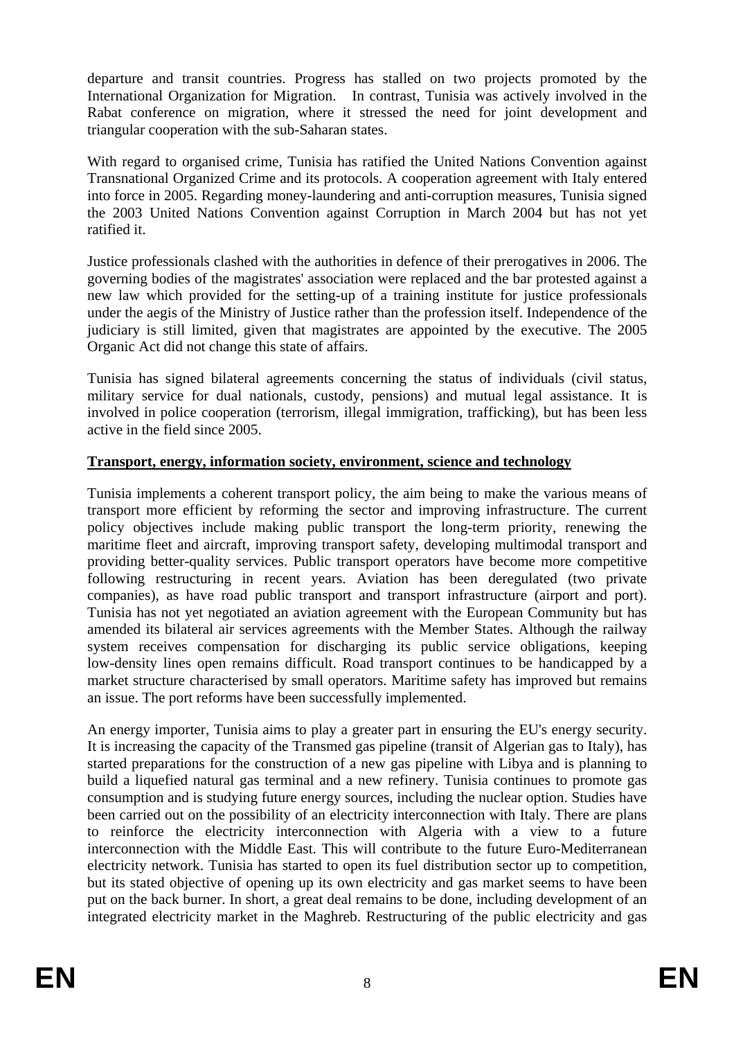departure and transit countries. Progress has stalled on two projects promoted by the International Organization for Migration. In contrast, Tunisia was actively involved in the Rabat conference on migration, where it stressed the need for joint development and triangular cooperation with the sub-Saharan states.

With regard to organised crime, Tunisia has ratified the United Nations Convention against Transnational Organized Crime and its protocols. A cooperation agreement with Italy entered into force in 2005. Regarding money-laundering and anti-corruption measures, Tunisia signed the 2003 United Nations Convention against Corruption in March 2004 but has not yet ratified it.

Justice professionals clashed with the authorities in defence of their prerogatives in 2006. The governing bodies of the magistrates' association were replaced and the bar protested against a new law which provided for the setting-up of a training institute for justice professionals under the aegis of the Ministry of Justice rather than the profession itself. Independence of the judiciary is still limited, given that magistrates are appointed by the executive. The 2005 Organic Act did not change this state of affairs.

Tunisia has signed bilateral agreements concerning the status of individuals (civil status, military service for dual nationals, custody, pensions) and mutual legal assistance. It is involved in police cooperation (terrorism, illegal immigration, trafficking), but has been less active in the field since 2005.

#### **Transport, energy, information society, environment, science and technology**

Tunisia implements a coherent transport policy, the aim being to make the various means of transport more efficient by reforming the sector and improving infrastructure. The current policy objectives include making public transport the long-term priority, renewing the maritime fleet and aircraft, improving transport safety, developing multimodal transport and providing better-quality services. Public transport operators have become more competitive following restructuring in recent years. Aviation has been deregulated (two private companies), as have road public transport and transport infrastructure (airport and port). Tunisia has not yet negotiated an aviation agreement with the European Community but has amended its bilateral air services agreements with the Member States. Although the railway system receives compensation for discharging its public service obligations, keeping low-density lines open remains difficult. Road transport continues to be handicapped by a market structure characterised by small operators. Maritime safety has improved but remains an issue. The port reforms have been successfully implemented.

An energy importer, Tunisia aims to play a greater part in ensuring the EU's energy security. It is increasing the capacity of the Transmed gas pipeline (transit of Algerian gas to Italy), has started preparations for the construction of a new gas pipeline with Libya and is planning to build a liquefied natural gas terminal and a new refinery. Tunisia continues to promote gas consumption and is studying future energy sources, including the nuclear option. Studies have been carried out on the possibility of an electricity interconnection with Italy. There are plans to reinforce the electricity interconnection with Algeria with a view to a future interconnection with the Middle East. This will contribute to the future Euro-Mediterranean electricity network. Tunisia has started to open its fuel distribution sector up to competition, but its stated objective of opening up its own electricity and gas market seems to have been put on the back burner. In short, a great deal remains to be done, including development of an integrated electricity market in the Maghreb. Restructuring of the public electricity and gas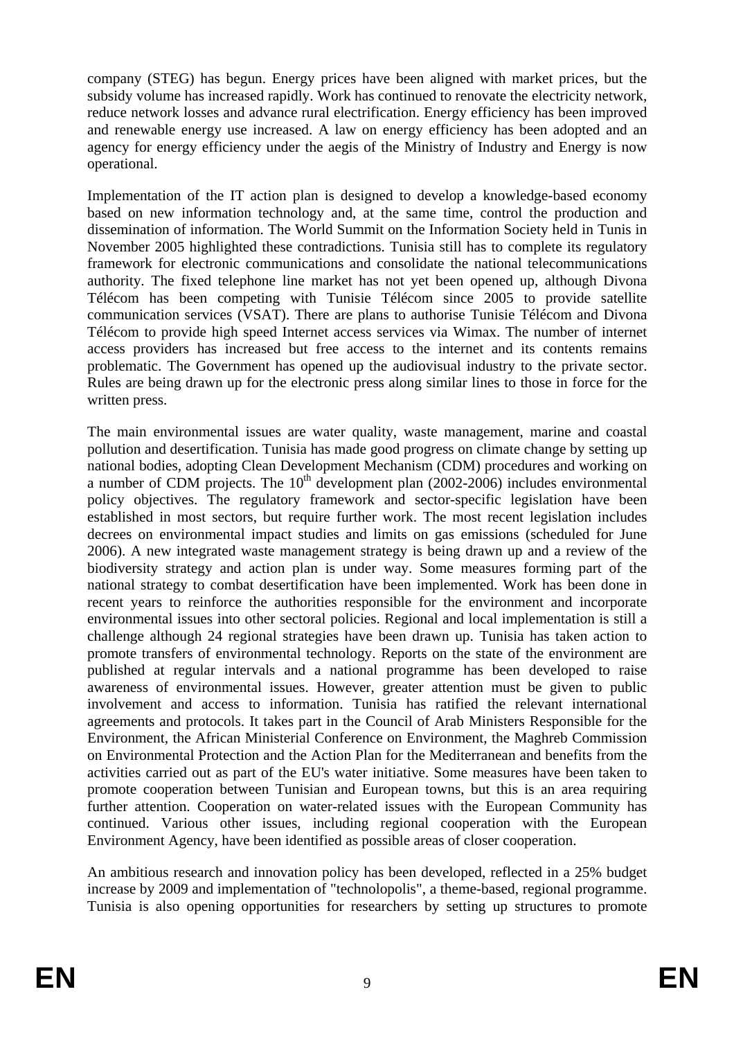company (STEG) has begun. Energy prices have been aligned with market prices, but the subsidy volume has increased rapidly. Work has continued to renovate the electricity network, reduce network losses and advance rural electrification. Energy efficiency has been improved and renewable energy use increased. A law on energy efficiency has been adopted and an agency for energy efficiency under the aegis of the Ministry of Industry and Energy is now operational.

Implementation of the IT action plan is designed to develop a knowledge-based economy based on new information technology and, at the same time, control the production and dissemination of information. The World Summit on the Information Society held in Tunis in November 2005 highlighted these contradictions. Tunisia still has to complete its regulatory framework for electronic communications and consolidate the national telecommunications authority. The fixed telephone line market has not yet been opened up, although Divona Télécom has been competing with Tunisie Télécom since 2005 to provide satellite communication services (VSAT). There are plans to authorise Tunisie Télécom and Divona Télécom to provide high speed Internet access services via Wimax. The number of internet access providers has increased but free access to the internet and its contents remains problematic. The Government has opened up the audiovisual industry to the private sector. Rules are being drawn up for the electronic press along similar lines to those in force for the written press.

The main environmental issues are water quality, waste management, marine and coastal pollution and desertification. Tunisia has made good progress on climate change by setting up national bodies, adopting Clean Development Mechanism (CDM) procedures and working on a number of CDM projects. The  $10<sup>th</sup>$  development plan (2002-2006) includes environmental policy objectives. The regulatory framework and sector-specific legislation have been established in most sectors, but require further work. The most recent legislation includes decrees on environmental impact studies and limits on gas emissions (scheduled for June 2006). A new integrated waste management strategy is being drawn up and a review of the biodiversity strategy and action plan is under way. Some measures forming part of the national strategy to combat desertification have been implemented. Work has been done in recent years to reinforce the authorities responsible for the environment and incorporate environmental issues into other sectoral policies. Regional and local implementation is still a challenge although 24 regional strategies have been drawn up. Tunisia has taken action to promote transfers of environmental technology. Reports on the state of the environment are published at regular intervals and a national programme has been developed to raise awareness of environmental issues. However, greater attention must be given to public involvement and access to information. Tunisia has ratified the relevant international agreements and protocols. It takes part in the Council of Arab Ministers Responsible for the Environment, the African Ministerial Conference on Environment, the Maghreb Commission on Environmental Protection and the Action Plan for the Mediterranean and benefits from the activities carried out as part of the EU's water initiative. Some measures have been taken to promote cooperation between Tunisian and European towns, but this is an area requiring further attention. Cooperation on water-related issues with the European Community has continued. Various other issues, including regional cooperation with the European Environment Agency, have been identified as possible areas of closer cooperation.

An ambitious research and innovation policy has been developed, reflected in a 25% budget increase by 2009 and implementation of "technolopolis", a theme-based, regional programme. Tunisia is also opening opportunities for researchers by setting up structures to promote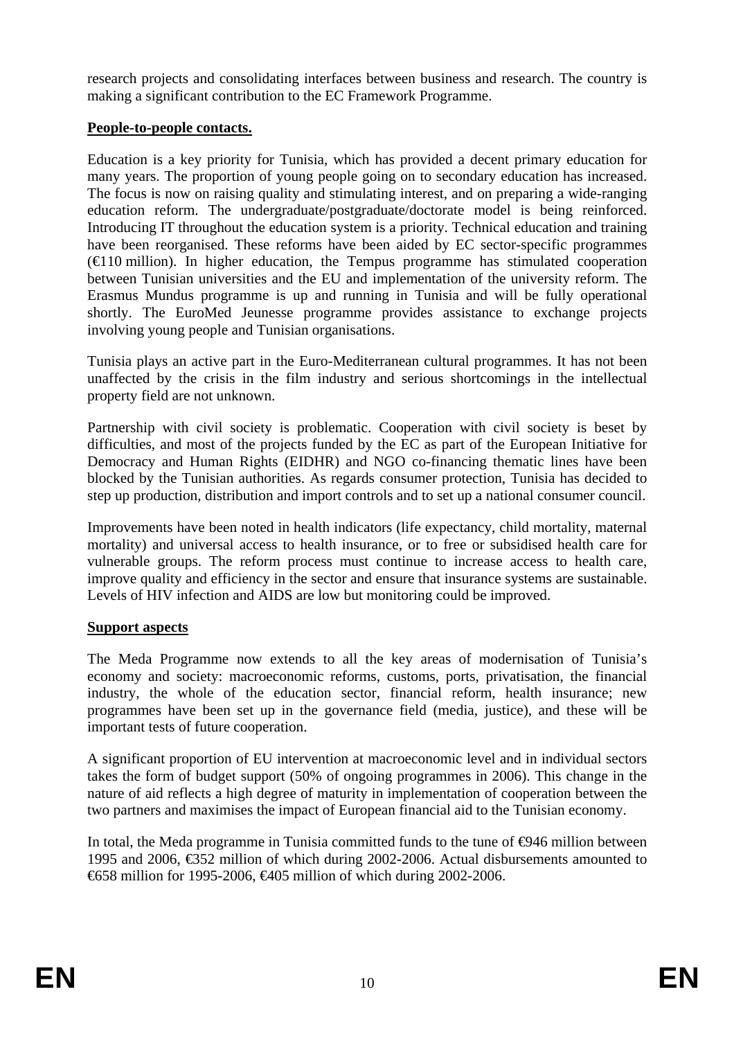research projects and consolidating interfaces between business and research. The country is making a significant contribution to the EC Framework Programme.

### **People-to-people contacts.**

Education is a key priority for Tunisia, which has provided a decent primary education for many years. The proportion of young people going on to secondary education has increased. The focus is now on raising quality and stimulating interest, and on preparing a wide-ranging education reform. The undergraduate/postgraduate/doctorate model is being reinforced. Introducing IT throughout the education system is a priority. Technical education and training have been reorganised. These reforms have been aided by EC sector-specific programmes  $(\text{E10 million})$ . In higher education, the Tempus programme has stimulated cooperation between Tunisian universities and the EU and implementation of the university reform. The Erasmus Mundus programme is up and running in Tunisia and will be fully operational shortly. The EuroMed Jeunesse programme provides assistance to exchange projects involving young people and Tunisian organisations.

Tunisia plays an active part in the Euro-Mediterranean cultural programmes. It has not been unaffected by the crisis in the film industry and serious shortcomings in the intellectual property field are not unknown.

Partnership with civil society is problematic. Cooperation with civil society is beset by difficulties, and most of the projects funded by the EC as part of the European Initiative for Democracy and Human Rights (EIDHR) and NGO co-financing thematic lines have been blocked by the Tunisian authorities. As regards consumer protection, Tunisia has decided to step up production, distribution and import controls and to set up a national consumer council.

Improvements have been noted in health indicators (life expectancy, child mortality, maternal mortality) and universal access to health insurance, or to free or subsidised health care for vulnerable groups. The reform process must continue to increase access to health care, improve quality and efficiency in the sector and ensure that insurance systems are sustainable. Levels of HIV infection and AIDS are low but monitoring could be improved.

#### **Support aspects**

The Meda Programme now extends to all the key areas of modernisation of Tunisia's economy and society: macroeconomic reforms, customs, ports, privatisation, the financial industry, the whole of the education sector, financial reform, health insurance; new programmes have been set up in the governance field (media, justice), and these will be important tests of future cooperation.

A significant proportion of EU intervention at macroeconomic level and in individual sectors takes the form of budget support (50% of ongoing programmes in 2006). This change in the nature of aid reflects a high degree of maturity in implementation of cooperation between the two partners and maximises the impact of European financial aid to the Tunisian economy.

In total, the Meda programme in Tunisia committed funds to the tune of  $\Theta$ 46 million between 1995 and 2006, €352 million of which during 2002-2006. Actual disbursements amounted to €658 million for 1995-2006, €405 million of which during 2002-2006.